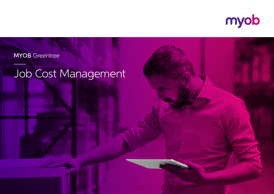

### **MYOB** Greentree

## Job Cost Management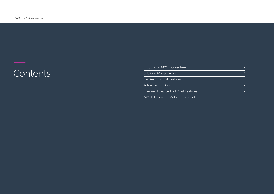# —<br>Contents

| Introducing MYOB Greentree              |   |
|-----------------------------------------|---|
| Job Cost Management                     |   |
| Ten key Job Cost Features               |   |
| Advanced Job Cost                       |   |
| Five Key Advanced Job Cost Features     |   |
| <b>MYOB Greentree Mobile Timesheets</b> | 8 |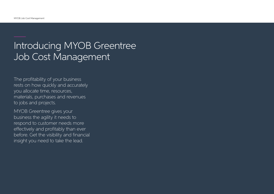### Introducing MYOB Greentree Job Cost Management

The profitability of your business rests on how quickly and accurately you allocate time, resources, materials, purchases and revenues to jobs and projects.

MYOB Greentree gives your business the agility it needs to respond to customer needs more effectively and profitably than ever before. Get the visibility and financial insight you need to take the lead.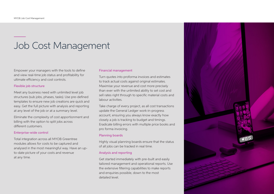### Job Cost Management

Empower your managers with the tools to define and view real-time job status and profitability for ultimate efficiency and cost controls.

#### Flexible job structure

Meet any business need with unlimited level job structures (sub jobs, phases, tasks). Use pre-defined templates to ensure new job creations are quick and easy. Get the full picture with analysis and reporting at any level of the job or at a summary level.

Eliminate the complexity of cost apportionment and billing with the option to split jobs across different customers.

#### Enterprise-wide control

Total integration across all MYOB Greentree modules allows for costs to be captured and analysed in the most meaningful way. Have an upto-date picture of your costs and revenue at any time.

#### Financial management

Turn quotes into proforma invoices and estimates to track actual costs against original estimates. Maximise your revenue and cost more precisely than ever with the unlimited ability to set cost and sell rates right through to specific material costs and labour activities.

Take charge of every project, as all cost transactions update the General Ledger work-in-progress account, ensuring you always know exactly how closely a job is tracking to budget and timings. Eradicate billing errors with multiple price books and pro forma invoicing.

#### Planning boards

Highly visual planning boards ensure that the status of all jobs can be tracked in real time.

#### Analysis and reporting

Get started immediately with pre-built and easily tailored management and operational reports. Use the extensive filtering capabilities to make reports and enquiries possible, down to the most detailed level.

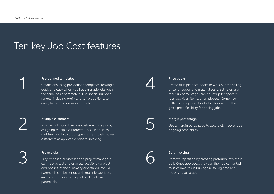1

2

3

### Ten key Job Cost features



Create jobs using pre-defined templates, making it quick and easy when you have multiple jobs with the same basic parameters. Use special number ranges, including prefix and suffix additions, to easily track jobs common attributes.

#### Multiple customers

You can bill more than one customer for a job by assigning multiple customers. This uses a salessplit function to distribute/pro-rata job costs across customers as applicable prior to invoicing.

#### Project jobs

Project-based businesses and project managers can track actual and estimate activity by project and phases, at the summary or detailed level. A parent job can be set-up with multiple sub-jobs, each contributing to the profitability of the parent job.

4

#### Price books

Create multiple price books to work out the selling price for labour and material costs. Sell rates and mark-up percentages can be set up for specific jobs, activities, items, or employees. Combined with inventory price books for stock issues, this gives great flexibility for pricing jobs.



#### Margin percentage

Use a margin percentage to accurately track a job's ongoing profitability.



#### Bulk invoicing

Remove repetition by creating proforma invoices in bulk. Once approved, they can then be converted to sales invoices in bulk again, saving time and increasing accuracy.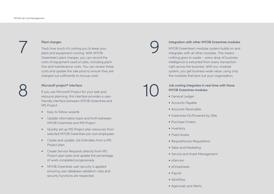

#### Plant charges

Track how much it's costing you to keep your plant and equipment running. With MYOB Greentree's plant charges, you can record the costs of equipment used on jobs, including plant hire and maintenance costs. You can review these costs and update the sale price to ensure they are charged out sufficiently to recoup costs.

#### Microsoft project® interface

If you use Microsoft Project for your task and resource planning, this interface provides a userfriendly interface between MYOB Greentree and MS Project:

- Easy to follow wizards
- Update information back and forth between MYOB Greentree and MS Project
- Quickly set up MS Project plan resources from selected MYOB Greentree job cost employees
- Create and update Job Estimates from a MS Project plan
- Create Service Requests directly from MS Project plan tasks and update the percentage of work completed progressively
- MYOB Greentree user security is applied ensuring user database validation rules and security functions are respected.

Integration with other MYOB Greentree modules MYOB Greentree's modular system builds on and integrates with all other modules. This means nothing goes to waste – every drop of business intelligence is extracted from every transaction right across the business. With our modular system, you get business-wide value, using only the modules that best suit your organisation.

### Job costing integrates in real-time with these MYOB Greentree modules:

• General Ledger

9

10

- Accounts Payable
- Accounts Receivable
- Greentree IQ (Powered by Qlik)
- Purchase Orders
- Inventory
- Fixed Assets
- Requisitions/e-Requisitions
- Sales and Marketing
- Service and Asset Management
- eService
- eTimesheets
- Payroll
- Workflow
- Approvals and Alerts.

7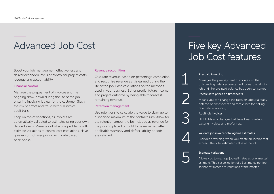### Advanced Job Cost

Boost your job management effectiveness and deliver expanded levels of control for project costs, revenue and accountability.

#### Financial control

Manage the prepayment of invoices and the ongoing draw-down during the life of the job, ensuring invoicing is clear for the customer. Slash the risk of errors and fraud with full invoice audit trails.

Keep on top of variations, as invoices are automatically validated to estimates using your own defined alerts. Manage out of scope problems with estimate variations to control cost escalations. Have greater control over pricing with date based price books.

#### Revenue recognition

Calculate revenue based on percentage completion, and recognise revenue as it is earned during the life of the job. Base calculations on the methods used in your business. Better predict future income and project outcome by being able to forecast remaining revenue.

#### Retention management

Use retentions to calculate the value to claim up to a specified maximum of the contract sum. Allow for the retention amount to be included as revenue for the job and placed on hold to be reclaimed after applicable warranty and defect liability periods are satisfied.

### Five key Advanced Job Cost features

#### Pre-paid invoicing

Manages the pre-payment of invoices, so that outstanding balances are carried forward against a job until the pre-paid balance has been consumed.

#### Recalculate prices on timesheets

Means you can change the rates on labour already entered on timesheets and recalculate the selling rate before invoicing.

#### Audit job invoices

Highlights any changes that have been made to existing invoices and proformas.

#### Validate job invoice total agains estimates

Provides a warning when you create an invoice that exceeds the total estimated value of the job.



1

2

3

4

Estimate variations<br>Allows you to mana<br>estimate. This is a c Allows you to manage job estimates as one 'master' estimate. This is a collection of all estimates per job, so that estimates are variations of the master.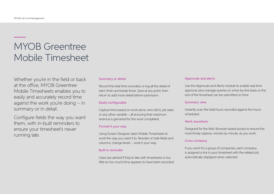### MYOB Greentree Mobile Timesheet

Whether you're in the field or back at the office, MYOB Greentree Mobile Timesheets enables you to easily and accurately record time against the work you're doing – in summary or in detail.

Configure fields the way you want them, with in-built reminders to ensure your timesheet's never running late.

#### Summary or detail

Record the total time recorded, or log all the detail of start, finish and break times. Save at any point, then return to add more detail before submission.

#### Easily configurable

Capture time based on work done, who did it, job rates or any other variable – all ensuring that maximum revenue is garnered for the work completed.

#### Format it your way

Using Screen Designer, tailor Mobile Timesheets to work the way you want it to. Reorder or hide fields and columns, change levels – work it your way.

#### Built in reminder

Users are alerted if they're late with timesheets or too little (or too much) time appears to have been recorded.

#### Approvals and alerts

Use the Approvals and Alerts module to enable real-time approval, plus manage queries on a line-by-line basis so the rest of the timesheet can be submitted on time.

#### Summary view

Instantly scan the total hours recorded against the hours scheduled.

#### Work anywhere

Designed for the field. Browser-based access to ensure the most timely capture, minute-by-minute, as you work.

#### Cross company

If you work for a group of companies, each company is assigned a line in your timesheet with the related job automatically displayed when selected.